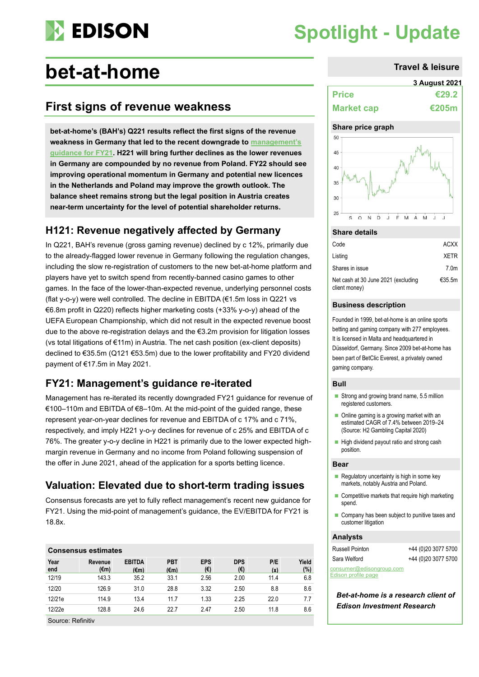

# **Spotlight - Update**

# **bet-at-home Travel & leisure**

# **First signs of revenue weakness**

**bet-at-home's (BAH's) Q221 results reflect the first signs of the revenue weakness in Germany that led to the recent downgrade to [management's](https://www.edisongroup.com/publication/near-term-transition-and-legal-challenges/29744/)  [guidance](https://www.edisongroup.com/publication/near-term-transition-and-legal-challenges/29744/) for FY21. H221 will bring further declines as the lower revenues in Germany are compounded by no revenue from Poland. FY22 should see improving operational momentum in Germany and potential new licences in the Netherlands and Poland may improve the growth outlook. The balance sheet remains strong but the legal position in Austria creates near-term uncertainty for the level of potential shareholder returns.** 

### **H121: Revenue negatively affected by Germany**

In Q221, BAH's revenue (gross gaming revenue) declined by c 12%, primarily due to the already-flagged lower revenue in Germany following the regulation changes, including the slow re-registration of customers to the new bet-at-home platform and players have yet to switch spend from recently-banned casino games to other games. In the face of the lower-than-expected revenue, underlying personnel costs (flat y-o-y) were well controlled. The decline in EBITDA (€1.5m loss in Q221 vs €6.8m profit in Q220) reflects higher marketing costs (+33% y-o-y) ahead of the UEFA European Championship, which did not result in the expected revenue boost due to the above re-registration delays and the €3.2m provision for litigation losses (vs total litigations of €11m) in Austria. The net cash position (ex-client deposits) declined to €35.5m (Q121 €53.5m) due to the lower profitability and FY20 dividend payment of €17.5m in May 2021.

## **FY21: Management's guidance re-iterated**

Management has re-iterated its recently downgraded FY21 guidance for revenue of €100–110m and EBITDA of €8–10m. At the mid-point of the guided range, these represent year-on-year declines for revenue and EBITDA of c 17% and c 71%, respectively, and imply H221 y-o-y declines for revenue of c 25% and EBITDA of c 76%. The greater y-o-y decline in H221 is primarily due to the lower expected highmargin revenue in Germany and no income from Poland following suspension of the offer in June 2021, ahead of the application for a sports betting licence.

# **Valuation: Elevated due to short-term trading issues**

Consensus forecasts are yet to fully reflect management's recent new guidance for FY21. Using the mid-point of management's guidance, the EV/EBITDA for FY21 is 18.8x.

| <b>Consensus estimates</b> |                 |                                 |                              |                   |                   |            |              |  |  |
|----------------------------|-----------------|---------------------------------|------------------------------|-------------------|-------------------|------------|--------------|--|--|
| Year<br>end                | Revenue<br>(€m) | <b>EBITDA</b><br>$(\epsilon m)$ | <b>PBT</b><br>$(\epsilon m)$ | <b>EPS</b><br>(€) | <b>DPS</b><br>(€) | P/E<br>(x) | Yield<br>(%) |  |  |
| 12/19                      | 143.3           | 35.2                            | 33.1                         | 2.56              | 2.00              | 11.4       | 6.8          |  |  |
| 12/20                      | 126.9           | 31.0                            | 28.8                         | 3.32              | 2.50              | 8.8        | 8.6          |  |  |
| 12/21e                     | 114.9           | 13.4                            | 11.7                         | 1.33              | 2.25              | 22.0       | 7.7          |  |  |
| 12/22e                     | 128.8           | 24.6                            | 22.7                         | 2.47              | 2.50              | 11.8       | 8.6          |  |  |

Source: Refinitiv

|                   | <b>3 August 2021</b> |
|-------------------|----------------------|
| <b>Price</b>      | €29.2                |
| <b>Market cap</b> | <b>€205m</b>         |

#### **Share price graph**



#### **Share details**

| Code                                                 | <b>ACXX</b>      |
|------------------------------------------------------|------------------|
| Listing                                              | <b>XFTR</b>      |
| Shares in issue                                      | 7.0 <sub>m</sub> |
| Net cash at 30 June 2021 (excluding<br>client money) | €35.5m           |

#### **Business description**

Founded in 1999, bet-at-home is an online sports betting and gaming company with 277 employees. It is licensed in Malta and headquartered in Düsseldorf, Germany. Since 2009 bet-at-home has been part of BetClic Everest, a privately owned gaming company.

### **Bull**

- Strong and growing brand name, 5.5 million registered customers.
- Online gaming is a growing market with an estimated CAGR of 7.4% between 2019–24 (Source: H2 Gambling Capital 2020)
- High dividend payout ratio and strong cash position.

#### **Bear**

- $\blacksquare$  Regulatory uncertainty is high in some key markets, notably Austria and Poland.
- Competitive markets that require high marketing spend.
- Company has been subject to punitive taxes and customer litigation

#### **Analysts**

| <b>Russell Pointon</b>   | +44 (0)20 3077 5700 |
|--------------------------|---------------------|
| Sara Welford             | +44 (0)20 3077 5700 |
| consumer@edisongroup.com |                     |

[Edison profile page](https://www.edisongroup.com/company/bet-at-home/2479/)

*Bet-at-home is a research client of Edison Investment Research*